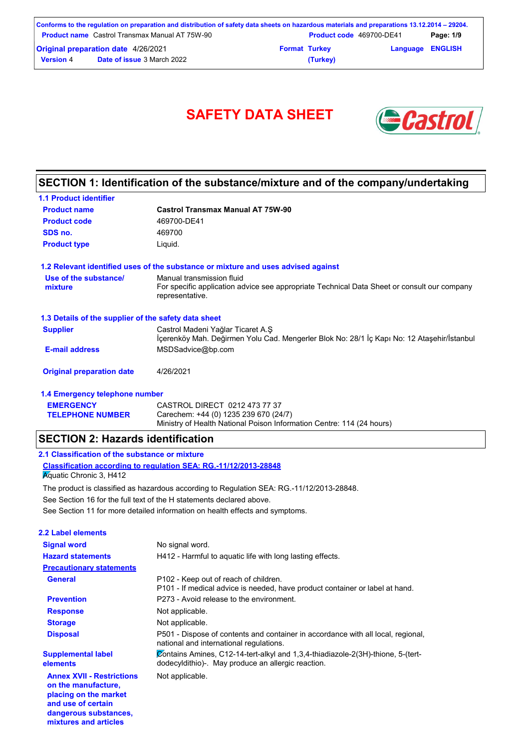|                                                       | Conforms to the regulation on preparation and distribution of safety data sheets on hazardous materials and preparations 13.12.2014 – 29204. |                          |                         |           |
|-------------------------------------------------------|----------------------------------------------------------------------------------------------------------------------------------------------|--------------------------|-------------------------|-----------|
| <b>Product name</b> Castrol Transmax Manual AT 75W-90 |                                                                                                                                              | Product code 469700-DE41 |                         | Page: 1/9 |
| <b>Original preparation date 4/26/2021</b>            |                                                                                                                                              | <b>Format Turkey</b>     | <b>Language ENGLISH</b> |           |
| <b>Version 4</b>                                      | <b>Date of issue 3 March 2022</b>                                                                                                            | (Turkey)                 |                         |           |



# **SECTION 1: Identification of the substance/mixture and of the company/undertaking**

| <b>1.1 Product identifier</b>                        |                                                                                                                                             |
|------------------------------------------------------|---------------------------------------------------------------------------------------------------------------------------------------------|
| <b>Product name</b>                                  | <b>Castrol Transmax Manual AT 75W-90</b>                                                                                                    |
| <b>Product code</b>                                  | 469700-DE41                                                                                                                                 |
| SDS no.                                              | 469700                                                                                                                                      |
| <b>Product type</b>                                  | Liquid.                                                                                                                                     |
|                                                      | 1.2 Relevant identified uses of the substance or mixture and uses advised against                                                           |
| Use of the substance/<br>mixture                     | Manual transmission fluid<br>For specific application advice see appropriate Technical Data Sheet or consult our company<br>representative. |
| 1.3 Details of the supplier of the safety data sheet |                                                                                                                                             |
| <b>Supplier</b>                                      | Castrol Madeni Yağlar Ticaret A.Ş<br>İçerenköy Mah. Değirmen Yolu Cad. Mengerler Blok No: 28/1 İç Kapı No: 12 Ataşehir/İstanbul             |
| <b>E-mail address</b>                                | MSDSadvice@bp.com                                                                                                                           |
| <b>Original preparation date</b>                     | 4/26/2021                                                                                                                                   |
| 1.4 Emergency telephone number                       |                                                                                                                                             |
|                                                      |                                                                                                                                             |

| <b>EMERGENCY</b>        | CASTROL DIRECT 0212 473 77 37                                         |
|-------------------------|-----------------------------------------------------------------------|
| <b>TELEPHONE NUMBER</b> | Carechem: +44 (0) 1235 239 670 (24/7)                                 |
|                         | Ministry of Health National Poison Information Centre: 114 (24 hours) |

# **SECTION 2: Hazards identification**

# **2.1 Classification of the substance or mixture**

**dangerous substances, mixtures and articles**

**Classification according to regulation SEA: RG.-11/12/2013-28848 K**quatic Chronic 3, H412

See Section 11 for more detailed information on health effects and symptoms. See Section 16 for the full text of the H statements declared above. The product is classified as hazardous according to Regulation SEA: RG.-11/12/2013-28848.

| 2.2 Label elements                                                                                     |                                                                                                                                       |
|--------------------------------------------------------------------------------------------------------|---------------------------------------------------------------------------------------------------------------------------------------|
| <b>Signal word</b>                                                                                     | No signal word.                                                                                                                       |
| <b>Hazard statements</b>                                                                               | H412 - Harmful to aquatic life with long lasting effects.                                                                             |
| <b>Precautionary statements</b>                                                                        |                                                                                                                                       |
| General                                                                                                | P102 - Keep out of reach of children.<br>P101 - If medical advice is needed, have product container or label at hand.                 |
| <b>Prevention</b>                                                                                      | P273 - Avoid release to the environment.                                                                                              |
| <b>Response</b>                                                                                        | Not applicable.                                                                                                                       |
| <b>Storage</b>                                                                                         | Not applicable.                                                                                                                       |
| <b>Disposal</b>                                                                                        | P501 - Dispose of contents and container in accordance with all local, regional,<br>national and international regulations.           |
| <b>Supplemental label</b><br>elements                                                                  | Contains Amines, C12-14-tert-alkyl and 1,3,4-thiadiazole-2(3H)-thione, 5-(tert-<br>dodecyldithio)-. May produce an allergic reaction. |
| <b>Annex XVII - Restrictions</b><br>on the manufacture.<br>placing on the market<br>and use of certain | Not applicable.                                                                                                                       |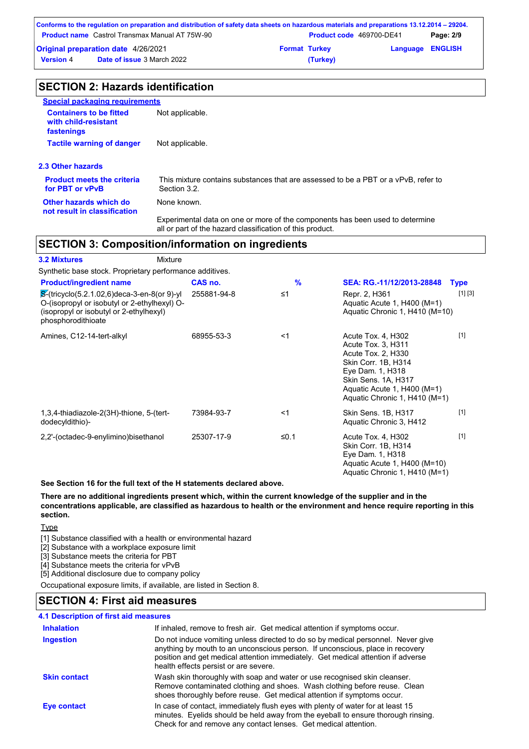|                                            | Conforms to the regulation on preparation and distribution of safety data sheets on hazardous materials and preparations 13.12.2014 – 29204. |                      |                          |                         |           |
|--------------------------------------------|----------------------------------------------------------------------------------------------------------------------------------------------|----------------------|--------------------------|-------------------------|-----------|
|                                            | <b>Product name</b> Castrol Transmax Manual AT 75W-90                                                                                        |                      | Product code 469700-DE41 |                         | Page: 2/9 |
| <b>Original preparation date 4/26/2021</b> |                                                                                                                                              | <b>Format Turkey</b> |                          | <b>Language ENGLISH</b> |           |
| <b>Version 4</b>                           | <b>Date of issue 3 March 2022</b>                                                                                                            |                      | (Turkey)                 |                         |           |

| <b>SECTION 2: Hazards identification</b>                             |                                                                                                   |
|----------------------------------------------------------------------|---------------------------------------------------------------------------------------------------|
| <b>Special packaging requirements</b>                                |                                                                                                   |
| <b>Containers to be fitted</b><br>with child-resistant<br>fastenings | Not applicable.                                                                                   |
| <b>Tactile warning of danger</b>                                     | Not applicable.                                                                                   |
| 2.3 Other hazards                                                    |                                                                                                   |
| <b>Product meets the criteria</b><br>for PBT or vPvB                 | This mixture contains substances that are assessed to be a PBT or a vPvB, refer to<br>Section 3.2 |
| Other hazards which do<br>not result in classification               | None known.                                                                                       |
|                                                                      | Functionantel deta en ene er mera et the componente has hean used to determine                    |

Experimental data on one or more of the components has been used to determine all or part of the hazard classification of this product.

# **SECTION 3: Composition/information on ingredients**

| <b>3.2 Mixtures</b>                                                                                                                                                       | Mixture     |               |                                                                                                                                                                                                  |             |
|---------------------------------------------------------------------------------------------------------------------------------------------------------------------------|-------------|---------------|--------------------------------------------------------------------------------------------------------------------------------------------------------------------------------------------------|-------------|
| Synthetic base stock. Proprietary performance additives.                                                                                                                  |             |               |                                                                                                                                                                                                  |             |
| <b>Product/ingredient name</b>                                                                                                                                            | CAS no.     | $\frac{9}{6}$ | SEA: RG.-11/12/2013-28848                                                                                                                                                                        | <b>Type</b> |
| $\mathcal{S}$ -(tricyclo(5.2.1.02,6)deca-3-en-8(or 9)-yl<br>O-(isopropyl or isobutyl or 2-ethylhexyl) O-<br>(isopropyl or isobutyl or 2-ethylhexyl)<br>phosphorodithioate | 255881-94-8 | $\leq 1$      | Repr. 2, H361<br>Aquatic Acute 1, H400 (M=1)<br>Aquatic Chronic 1, H410 (M=10)                                                                                                                   | [1] [3]     |
| Amines, C12-14-tert-alkyl                                                                                                                                                 | 68955-53-3  | $<$ 1         | Acute Tox. 4, H302<br>Acute Tox. 3, H311<br>Acute Tox. 2, H330<br>Skin Corr. 1B, H314<br>Eye Dam. 1, H318<br>Skin Sens. 1A, H317<br>Aquatic Acute 1, H400 (M=1)<br>Aquatic Chronic 1, H410 (M=1) | $[1]$       |
| 1,3,4-thiadiazole-2(3H)-thione, 5-(tert-<br>dodecyldithio)-                                                                                                               | 73984-93-7  | $<$ 1         | Skin Sens. 1B, H317<br>Aquatic Chronic 3, H412                                                                                                                                                   | $[1]$       |
| 2,2'-(octadec-9-enylimino)bisethanol                                                                                                                                      | 25307-17-9  | ≤0.1          | Acute Tox. 4, H302<br>Skin Corr. 1B, H314<br>Eye Dam. 1, H318<br>Aquatic Acute 1, H400 (M=10)<br>Aquatic Chronic 1, H410 (M=1)                                                                   | $[1]$       |

**See Section 16 for the full text of the H statements declared above.**

**There are no additional ingredients present which, within the current knowledge of the supplier and in the concentrations applicable, are classified as hazardous to health or the environment and hence require reporting in this section.**

**Type** 

[1] Substance classified with a health or environmental hazard

[2] Substance with a workplace exposure limit

[3] Substance meets the criteria for PBT

[4] Substance meets the criteria for vPvB

[5] Additional disclosure due to company policy

Occupational exposure limits, if available, are listed in Section 8.

# **SECTION 4: First aid measures**

| 4.1 Description of first aid measures |                                                                                                                                                                                                                                                                                                |
|---------------------------------------|------------------------------------------------------------------------------------------------------------------------------------------------------------------------------------------------------------------------------------------------------------------------------------------------|
| <b>Inhalation</b>                     | If inhaled, remove to fresh air. Get medical attention if symptoms occur.                                                                                                                                                                                                                      |
| Ingestion                             | Do not induce vomiting unless directed to do so by medical personnel. Never give<br>anything by mouth to an unconscious person. If unconscious, place in recovery<br>position and get medical attention immediately. Get medical attention if adverse<br>health effects persist or are severe. |
| <b>Skin contact</b>                   | Wash skin thoroughly with soap and water or use recognised skin cleanser.<br>Remove contaminated clothing and shoes. Wash clothing before reuse. Clean<br>shoes thoroughly before reuse. Get medical attention if symptoms occur.                                                              |
| Eye contact                           | In case of contact, immediately flush eyes with plenty of water for at least 15<br>minutes. Eyelids should be held away from the eyeball to ensure thorough rinsing.<br>Check for and remove any contact lenses. Get medical attention.                                                        |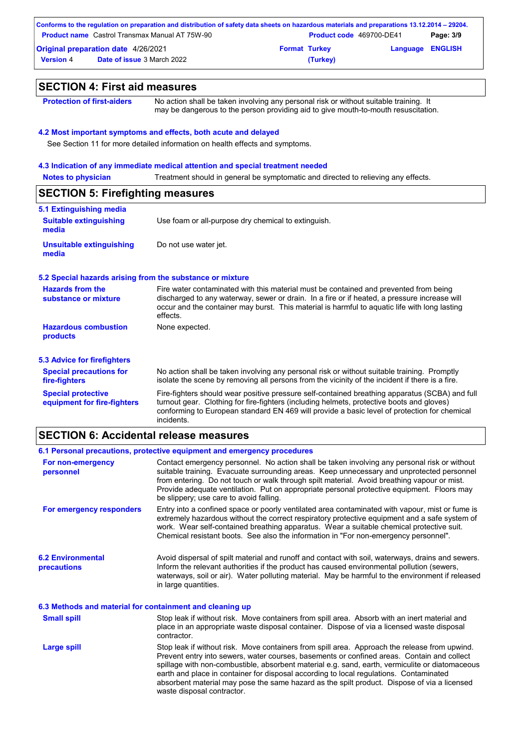|                                            | Conforms to the regulation on preparation and distribution of safety data sheets on hazardous materials and preparations 13.12.2014 – 29204. |                      |                                 |                         |           |
|--------------------------------------------|----------------------------------------------------------------------------------------------------------------------------------------------|----------------------|---------------------------------|-------------------------|-----------|
|                                            | <b>Product name</b> Castrol Transmax Manual AT 75W-90                                                                                        |                      | <b>Product code</b> 469700-DE41 |                         | Page: 3/9 |
| <b>Original preparation date 4/26/2021</b> |                                                                                                                                              | <b>Format Turkey</b> |                                 | <b>Language ENGLISH</b> |           |
| <b>Version</b> 4                           | <b>Date of issue 3 March 2022</b>                                                                                                            |                      | (Turkey)                        |                         |           |

#### **SECTION 4: First aid measures Notes to physician 4.2 Most important symptoms and effects, both acute and delayed 4.3 Indication of any immediate medical attention and special treatment needed** See Section 11 for more detailed information on health effects and symptoms. **Protection of first-aiders** No action shall be taken involving any personal risk or without suitable training. It may be dangerous to the person providing aid to give mouth-to-mouth resuscitation. Treatment should in general be symptomatic and directed to relieving any effects. No action shall be taken involving any personal risk or without suitable training. Promptly isolate the scene by removing all persons from the vicinity of the incident if there is a fire. **Hazardous combustion products Hazards from the substance or mixture** None expected. Fire water contaminated with this material must be contained and prevented from being discharged to any waterway, sewer or drain. In a fire or if heated, a pressure increase will occur and the container may burst. This material is harmful to aquatic life with long lasting effects. Fire-fighters should wear positive pressure self-contained breathing apparatus (SCBA) and full turnout gear. Clothing for fire-fighters (including helmets, protective boots and gloves) conforming to European standard EN 469 will provide a basic level of protection for chemical incidents. **Special protective equipment for fire-fighters** Use foam or all-purpose dry chemical to extinguish. **5.1 Extinguishing media Suitable extinguishing media SECTION 5: Firefighting measures 5.2 Special hazards arising from the substance or mixture 5.3 Advice for firefighters Special precautions for fire-fighters Unsuitable extinguishing media** Do not use water jet.

#### **SECTION 6: Accidental release measures**

#### **6.1 Personal precautions, protective equipment and emergency procedures**

| For non-emergency<br>personnel                           | Contact emergency personnel. No action shall be taken involving any personal risk or without<br>suitable training. Evacuate surrounding areas. Keep unnecessary and unprotected personnel<br>from entering. Do not touch or walk through spilt material. Avoid breathing vapour or mist.<br>Provide adequate ventilation. Put on appropriate personal protective equipment. Floors may<br>be slippery; use care to avoid falling.                                                                                     |
|----------------------------------------------------------|-----------------------------------------------------------------------------------------------------------------------------------------------------------------------------------------------------------------------------------------------------------------------------------------------------------------------------------------------------------------------------------------------------------------------------------------------------------------------------------------------------------------------|
| For emergency responders                                 | Entry into a confined space or poorly ventilated area contaminated with vapour, mist or fume is<br>extremely hazardous without the correct respiratory protective equipment and a safe system of<br>work. Wear self-contained breathing apparatus. Wear a suitable chemical protective suit.<br>Chemical resistant boots. See also the information in "For non-emergency personnel".                                                                                                                                  |
| <b>6.2 Environmental</b><br>precautions                  | Avoid dispersal of spilt material and runoff and contact with soil, waterways, drains and sewers.<br>Inform the relevant authorities if the product has caused environmental pollution (sewers,<br>waterways, soil or air). Water polluting material. May be harmful to the environment if released<br>in large quantities.                                                                                                                                                                                           |
| 6.3 Methods and material for containment and cleaning up |                                                                                                                                                                                                                                                                                                                                                                                                                                                                                                                       |
| <b>Small spill</b>                                       | Stop leak if without risk. Move containers from spill area. Absorb with an inert material and<br>place in an appropriate waste disposal container. Dispose of via a licensed waste disposal<br>contractor.                                                                                                                                                                                                                                                                                                            |
| <b>Large spill</b>                                       | Stop leak if without risk. Move containers from spill area. Approach the release from upwind.<br>Prevent entry into sewers, water courses, basements or confined areas. Contain and collect<br>spillage with non-combustible, absorbent material e.g. sand, earth, vermiculite or diatomaceous<br>earth and place in container for disposal according to local regulations. Contaminated<br>absorbent material may pose the same hazard as the spilt product. Dispose of via a licensed<br>waste disposal contractor. |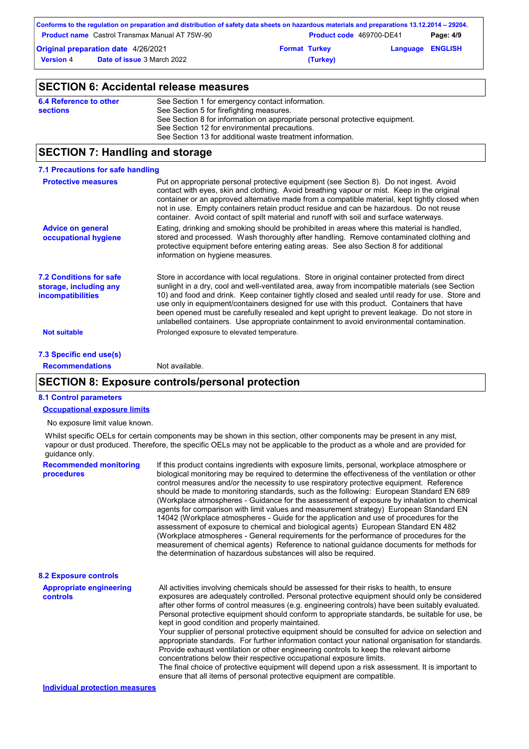|                                            | Conforms to the regulation on preparation and distribution of safety data sheets on hazardous materials and preparations 13.12.2014 – 29204. |                          |                         |           |
|--------------------------------------------|----------------------------------------------------------------------------------------------------------------------------------------------|--------------------------|-------------------------|-----------|
|                                            | <b>Product name</b> Castrol Transmax Manual AT 75W-90                                                                                        | Product code 469700-DE41 |                         | Page: 4/9 |
| <b>Original preparation date 4/26/2021</b> |                                                                                                                                              | <b>Format Turkey</b>     | <b>Language ENGLISH</b> |           |
| <b>Version 4</b>                           | <b>Date of issue 3 March 2022</b>                                                                                                            | (Turkey)                 |                         |           |

# **SECTION 6: Accidental release measures**

| 6.4 Reference to other | See Section 1 for emergency contact information.                            |
|------------------------|-----------------------------------------------------------------------------|
| <b>sections</b>        | See Section 5 for firefighting measures.                                    |
|                        | See Section 8 for information on appropriate personal protective equipment. |
|                        | See Section 12 for environmental precautions.                               |
|                        | See Section 13 for additional waste treatment information.                  |
|                        |                                                                             |

# **SECTION 7: Handling and storage**

| 7.1 Precautions for safe handling                                                    |                                                                                                                                                                                                                                                                                                                                                                                                                                                                                                                                                                                             |
|--------------------------------------------------------------------------------------|---------------------------------------------------------------------------------------------------------------------------------------------------------------------------------------------------------------------------------------------------------------------------------------------------------------------------------------------------------------------------------------------------------------------------------------------------------------------------------------------------------------------------------------------------------------------------------------------|
| <b>Protective measures</b>                                                           | Put on appropriate personal protective equipment (see Section 8). Do not ingest. Avoid<br>contact with eyes, skin and clothing. Avoid breathing vapour or mist. Keep in the original<br>container or an approved alternative made from a compatible material, kept tightly closed when<br>not in use. Empty containers retain product residue and can be hazardous. Do not reuse<br>container. Avoid contact of spilt material and runoff with soil and surface waterways.                                                                                                                  |
| <b>Advice on general</b><br>occupational hygiene                                     | Eating, drinking and smoking should be prohibited in areas where this material is handled,<br>stored and processed. Wash thoroughly after handling. Remove contaminated clothing and<br>protective equipment before entering eating areas. See also Section 8 for additional<br>information on hygiene measures.                                                                                                                                                                                                                                                                            |
| <b>7.2 Conditions for safe</b><br>storage, including any<br><b>incompatibilities</b> | Store in accordance with local regulations. Store in original container protected from direct<br>sunlight in a dry, cool and well-ventilated area, away from incompatible materials (see Section<br>10) and food and drink. Keep container tightly closed and sealed until ready for use. Store and<br>use only in equipment/containers designed for use with this product. Containers that have<br>been opened must be carefully resealed and kept upright to prevent leakage. Do not store in<br>unlabelled containers. Use appropriate containment to avoid environmental contamination. |
| <b>Not suitable</b>                                                                  | Prolonged exposure to elevated temperature.                                                                                                                                                                                                                                                                                                                                                                                                                                                                                                                                                 |
| 7.3 Specific end use(s)                                                              |                                                                                                                                                                                                                                                                                                                                                                                                                                                                                                                                                                                             |

**Recommendations** Not available.

### **SECTION 8: Exposure controls/personal protection**

#### **8.1 Control parameters**

#### **Occupational exposure limits**

No exposure limit value known.

Whilst specific OELs for certain components may be shown in this section, other components may be present in any mist, vapour or dust produced. Therefore, the specific OELs may not be applicable to the product as a whole and are provided for guidance only.

| <b>Recommended monitoring</b><br>procedures       | If this product contains ingredients with exposure limits, personal, workplace atmosphere or<br>biological monitoring may be reguired to determine the effectiveness of the ventilation or other<br>control measures and/or the necessity to use respiratory protective equipment. Reference<br>should be made to monitoring standards, such as the following: European Standard EN 689<br>(Workplace atmospheres - Guidance for the assessment of exposure by inhalation to chemical<br>agents for comparison with limit values and measurement strategy) European Standard EN<br>14042 (Workplace atmospheres - Guide for the application and use of procedures for the<br>assessment of exposure to chemical and biological agents) European Standard EN 482<br>(Workplace atmospheres - General requirements for the performance of procedures for the<br>measurement of chemical agents) Reference to national guidance documents for methods for<br>the determination of hazardous substances will also be required. |
|---------------------------------------------------|----------------------------------------------------------------------------------------------------------------------------------------------------------------------------------------------------------------------------------------------------------------------------------------------------------------------------------------------------------------------------------------------------------------------------------------------------------------------------------------------------------------------------------------------------------------------------------------------------------------------------------------------------------------------------------------------------------------------------------------------------------------------------------------------------------------------------------------------------------------------------------------------------------------------------------------------------------------------------------------------------------------------------|
| <b>8.2 Exposure controls</b>                      |                                                                                                                                                                                                                                                                                                                                                                                                                                                                                                                                                                                                                                                                                                                                                                                                                                                                                                                                                                                                                            |
| <b>Appropriate engineering</b><br><b>controls</b> | All activities involving chemicals should be assessed for their risks to health, to ensure<br>exposures are adequately controlled. Personal protective equipment should only be considered<br>after other forms of control measures (e.g. engineering controls) have been suitably evaluated.<br>Personal protective equipment should conform to appropriate standards, be suitable for use, be<br>kept in good condition and properly maintained.<br>Your supplier of personal protective equipment should be consulted for advice on selection and<br>appropriate standards. For further information contact your national organisation for standards.<br>Provide exhaust ventilation or other engineering controls to keep the relevant airborne<br>concentrations below their respective occupational exposure limits.<br>The final choice of protective equipment will depend upon a risk assessment. It is important to<br>ensure that all items of personal protective equipment are compatible.                    |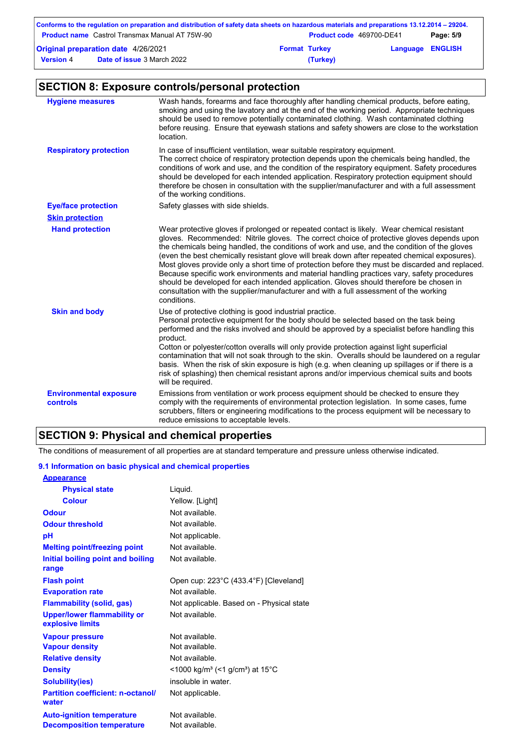|                                            | Conforms to the regulation on preparation and distribution of safety data sheets on hazardous materials and preparations 13.12.2014 – 29204. |                      |                          |                         |           |
|--------------------------------------------|----------------------------------------------------------------------------------------------------------------------------------------------|----------------------|--------------------------|-------------------------|-----------|
|                                            | <b>Product name</b> Castrol Transmax Manual AT 75W-90                                                                                        |                      | Product code 469700-DE41 |                         | Page: 5/9 |
| <b>Original preparation date 4/26/2021</b> |                                                                                                                                              | <b>Format Turkey</b> |                          | <b>Language ENGLISH</b> |           |
| <b>Version 4</b>                           | <b>Date of issue 3 March 2022</b>                                                                                                            |                      | (Turkey)                 |                         |           |

# **SECTION 8: Exposure controls/personal protection**

| <b>Hygiene measures</b>                          | Wash hands, forearms and face thoroughly after handling chemical products, before eating,<br>smoking and using the lavatory and at the end of the working period. Appropriate techniques<br>should be used to remove potentially contaminated clothing. Wash contaminated clothing<br>before reusing. Ensure that eyewash stations and safety showers are close to the workstation<br>location.                                                                                                                                                                                                                                                                                                                                                                                              |
|--------------------------------------------------|----------------------------------------------------------------------------------------------------------------------------------------------------------------------------------------------------------------------------------------------------------------------------------------------------------------------------------------------------------------------------------------------------------------------------------------------------------------------------------------------------------------------------------------------------------------------------------------------------------------------------------------------------------------------------------------------------------------------------------------------------------------------------------------------|
| <b>Respiratory protection</b>                    | In case of insufficient ventilation, wear suitable respiratory equipment.<br>The correct choice of respiratory protection depends upon the chemicals being handled, the<br>conditions of work and use, and the condition of the respiratory equipment. Safety procedures<br>should be developed for each intended application. Respiratory protection equipment should<br>therefore be chosen in consultation with the supplier/manufacturer and with a full assessment<br>of the working conditions.                                                                                                                                                                                                                                                                                        |
| <b>Eye/face protection</b>                       | Safety glasses with side shields.                                                                                                                                                                                                                                                                                                                                                                                                                                                                                                                                                                                                                                                                                                                                                            |
| <b>Skin protection</b>                           |                                                                                                                                                                                                                                                                                                                                                                                                                                                                                                                                                                                                                                                                                                                                                                                              |
| <b>Hand protection</b>                           | Wear protective gloves if prolonged or repeated contact is likely. Wear chemical resistant<br>gloves. Recommended: Nitrile gloves. The correct choice of protective gloves depends upon<br>the chemicals being handled, the conditions of work and use, and the condition of the gloves<br>(even the best chemically resistant glove will break down after repeated chemical exposures).<br>Most gloves provide only a short time of protection before they must be discarded and replaced.<br>Because specific work environments and material handling practices vary, safety procedures<br>should be developed for each intended application. Gloves should therefore be chosen in<br>consultation with the supplier/manufacturer and with a full assessment of the working<br>conditions. |
| <b>Skin and body</b>                             | Use of protective clothing is good industrial practice.<br>Personal protective equipment for the body should be selected based on the task being<br>performed and the risks involved and should be approved by a specialist before handling this<br>product.<br>Cotton or polyester/cotton overalls will only provide protection against light superficial<br>contamination that will not soak through to the skin. Overalls should be laundered on a regular<br>basis. When the risk of skin exposure is high (e.g. when cleaning up spillages or if there is a<br>risk of splashing) then chemical resistant aprons and/or impervious chemical suits and boots<br>will be required.                                                                                                        |
| <b>Environmental exposure</b><br><b>controls</b> | Emissions from ventilation or work process equipment should be checked to ensure they<br>comply with the requirements of environmental protection legislation. In some cases, fume<br>scrubbers, filters or engineering modifications to the process equipment will be necessary to<br>reduce emissions to acceptable levels.                                                                                                                                                                                                                                                                                                                                                                                                                                                                |

# **SECTION 9: Physical and chemical properties**

The conditions of measurement of all properties are at standard temperature and pressure unless otherwise indicated.

#### **9.1 Information on basic physical and chemical properties**

| <b>Appearance</b>                                      |                                                                      |
|--------------------------------------------------------|----------------------------------------------------------------------|
| <b>Physical state</b>                                  | Liquid.                                                              |
| <b>Colour</b>                                          | Yellow. [Light]                                                      |
| <b>Odour</b>                                           | Not available.                                                       |
| <b>Odour threshold</b>                                 | Not available.                                                       |
| рH                                                     | Not applicable.                                                      |
| <b>Melting point/freezing point</b>                    | Not available.                                                       |
| Initial boiling point and boiling                      | Not available.                                                       |
| range                                                  |                                                                      |
| <b>Flash point</b>                                     | Open cup: 223°C (433.4°F) [Cleveland]                                |
| <b>Evaporation rate</b>                                | Not available.                                                       |
| <b>Flammability (solid, gas)</b>                       | Not applicable. Based on - Physical state                            |
| <b>Upper/lower flammability or</b><br>explosive limits | Not available.                                                       |
| <b>Vapour pressure</b>                                 | Not available.                                                       |
| <b>Vapour density</b>                                  | Not available.                                                       |
| <b>Relative density</b>                                | Not available.                                                       |
| <b>Density</b>                                         | <1000 kg/m <sup>3</sup> (<1 g/cm <sup>3</sup> ) at 15 <sup>°</sup> C |
| <b>Solubility(ies)</b>                                 | insoluble in water.                                                  |
| <b>Partition coefficient: n-octanol/</b><br>water      | Not applicable.                                                      |
| <b>Auto-ignition temperature</b>                       | Not available.                                                       |
| <b>Decomposition temperature</b>                       | Not available.                                                       |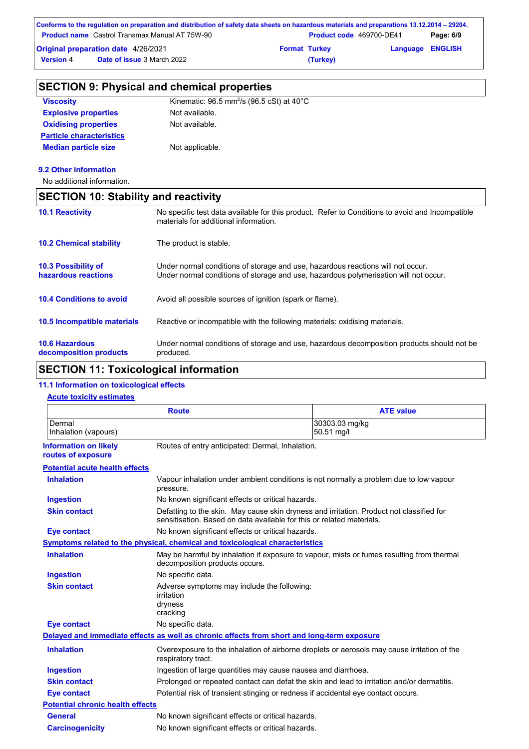|                  | Conforms to the regulation on preparation and distribution of safety data sheets on hazardous materials and preparations 13.12.2014 – 29204. |                      |                                 |                         |           |
|------------------|----------------------------------------------------------------------------------------------------------------------------------------------|----------------------|---------------------------------|-------------------------|-----------|
|                  | <b>Product name</b> Castrol Transmax Manual AT 75W-90                                                                                        |                      | <b>Product code</b> 469700-DE41 |                         | Page: 6/9 |
|                  | <b>Original preparation date 4/26/2021</b>                                                                                                   | <b>Format Turkey</b> |                                 | <b>Language ENGLISH</b> |           |
| <b>Version 4</b> | <b>Date of issue 3 March 2022</b>                                                                                                            |                      | (Turkey)                        |                         |           |

|                                                 | <b>SECTION 9: Physical and chemical properties</b>                                                                                                                      |
|-------------------------------------------------|-------------------------------------------------------------------------------------------------------------------------------------------------------------------------|
| <b>Viscosity</b>                                | Kinematic: $96.5$ mm <sup>2</sup> /s ( $96.5$ cSt) at $40^{\circ}$ C                                                                                                    |
| <b>Explosive properties</b>                     | Not available.                                                                                                                                                          |
| <b>Oxidising properties</b>                     | Not available.                                                                                                                                                          |
| <b>Particle characteristics</b>                 |                                                                                                                                                                         |
| <b>Median particle size</b>                     | Not applicable.                                                                                                                                                         |
| 9.2 Other information                           |                                                                                                                                                                         |
| No additional information.                      |                                                                                                                                                                         |
| <b>SECTION 10: Stability and reactivity</b>     |                                                                                                                                                                         |
| <b>10.1 Reactivity</b>                          | No specific test data available for this product. Refer to Conditions to avoid and Incompatible<br>materials for additional information.                                |
| <b>10.2 Chemical stability</b>                  | The product is stable.                                                                                                                                                  |
| 10.3 Possibility of<br>hazardous reactions      | Under normal conditions of storage and use, hazardous reactions will not occur.<br>Under normal conditions of storage and use, hazardous polymerisation will not occur. |
| <b>10.4 Conditions to avoid</b>                 | Avoid all possible sources of ignition (spark or flame).                                                                                                                |
| 10.5 Incompatible materials                     | Reactive or incompatible with the following materials: oxidising materials.                                                                                             |
| <b>10.6 Hazardous</b><br>decomposition products | Under normal conditions of storage and use, hazardous decomposition products should not be<br>produced.                                                                 |

# **SECTION 11: Toxicological information**

# **11.1 Information on toxicological effects**

### **Acute toxicity estimates**

|                                                    | <b>Route</b>                                                                               | <b>ATE value</b>                                                                            |
|----------------------------------------------------|--------------------------------------------------------------------------------------------|---------------------------------------------------------------------------------------------|
| Dermal<br>Inhalation (vapours)                     |                                                                                            | 30303.03 mg/kg<br>50.51 mg/l                                                                |
| <b>Information on likely</b><br>routes of exposure | Routes of entry anticipated: Dermal, Inhalation.                                           |                                                                                             |
| <b>Potential acute health effects</b>              |                                                                                            |                                                                                             |
| <b>Inhalation</b>                                  | pressure.                                                                                  | Vapour inhalation under ambient conditions is not normally a problem due to low vapour      |
| <b>Ingestion</b>                                   | No known significant effects or critical hazards.                                          |                                                                                             |
| <b>Skin contact</b>                                | sensitisation. Based on data available for this or related materials.                      | Defatting to the skin. May cause skin dryness and irritation. Product not classified for    |
| <b>Eye contact</b>                                 | No known significant effects or critical hazards.                                          |                                                                                             |
|                                                    | Symptoms related to the physical, chemical and toxicological characteristics               |                                                                                             |
| <b>Inhalation</b>                                  | decomposition products occurs.                                                             | May be harmful by inhalation if exposure to vapour, mists or fumes resulting from thermal   |
| Ingestion                                          | No specific data.                                                                          |                                                                                             |
| <b>Skin contact</b>                                | Adverse symptoms may include the following:<br>irritation<br>dryness<br>cracking           |                                                                                             |
| <b>Eye contact</b>                                 | No specific data.                                                                          |                                                                                             |
|                                                    | Delayed and immediate effects as well as chronic effects from short and long-term exposure |                                                                                             |
| <b>Inhalation</b>                                  | respiratory tract.                                                                         | Overexposure to the inhalation of airborne droplets or aerosols may cause irritation of the |
| <b>Ingestion</b>                                   | Ingestion of large quantities may cause nausea and diarrhoea.                              |                                                                                             |
| <b>Skin contact</b>                                |                                                                                            | Prolonged or repeated contact can defat the skin and lead to irritation and/or dermatitis.  |
| <b>Eye contact</b>                                 |                                                                                            | Potential risk of transient stinging or redness if accidental eye contact occurs.           |
| <b>Potential chronic health effects</b>            |                                                                                            |                                                                                             |
| <b>General</b>                                     | No known significant effects or critical hazards.                                          |                                                                                             |
| <b>Carcinogenicity</b>                             | No known significant effects or critical hazards.                                          |                                                                                             |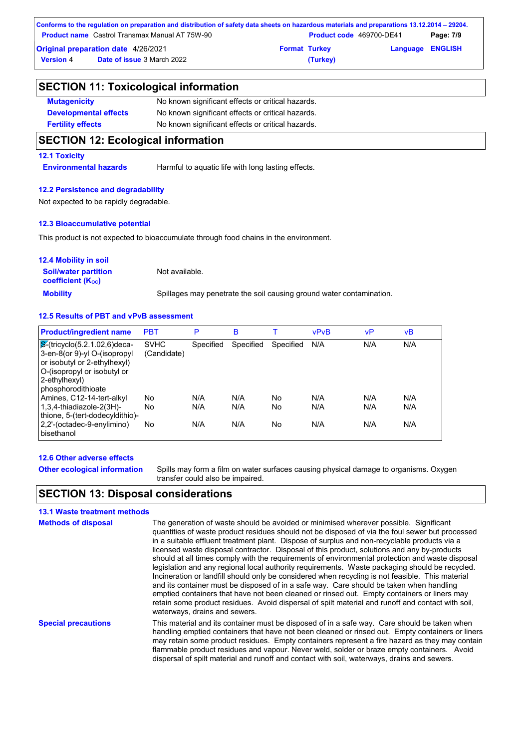|                                            | Conforms to the regulation on preparation and distribution of safety data sheets on hazardous materials and preparations 13.12.2014 – 29204. |                      |                                 |                         |           |
|--------------------------------------------|----------------------------------------------------------------------------------------------------------------------------------------------|----------------------|---------------------------------|-------------------------|-----------|
|                                            | <b>Product name</b> Castrol Transmax Manual AT 75W-90                                                                                        |                      | <b>Product code</b> 469700-DE41 |                         | Page: 7/9 |
| <b>Original preparation date 4/26/2021</b> |                                                                                                                                              | <b>Format Turkey</b> |                                 | <b>Language ENGLISH</b> |           |
| <b>Version 4</b>                           | <b>Date of issue 3 March 2022</b>                                                                                                            |                      | (Turkey)                        |                         |           |

| <b>SECTION 11: Toxicological information</b> |                                                   |  |
|----------------------------------------------|---------------------------------------------------|--|
| <b>Mutagenicity</b>                          | No known significant effects or critical hazards. |  |
| <b>Developmental effects</b>                 | No known significant effects or critical hazards. |  |
| <b>Fertility effects</b>                     | No known significant effects or critical hazards. |  |
| SECTION 12: Ecological information           |                                                   |  |

# **SECTION 12: Ecological information**

### **12.1 Toxicity**

**Environmental hazards** Harmful to aquatic life with long lasting effects.

### **12.2 Persistence and degradability**

Not expected to be rapidly degradable.

#### **12.3 Bioaccumulative potential**

This product is not expected to bioaccumulate through food chains in the environment.

| <b>12.4 Mobility in soil</b>                            |                                                                      |
|---------------------------------------------------------|----------------------------------------------------------------------|
| <b>Soil/water partition</b><br><b>coefficient (Koc)</b> | Not available.                                                       |
| <b>Mobility</b>                                         | Spillages may penetrate the soil causing ground water contamination. |

## **12.5 Results of PBT and vPvB assessment**

| <b>Product/ingredient name</b>                                                                                                                                                  | <b>PBT</b>                 | P         | B         |           | <b>vPvB</b> | vP  | νB  |
|---------------------------------------------------------------------------------------------------------------------------------------------------------------------------------|----------------------------|-----------|-----------|-----------|-------------|-----|-----|
| $\mathcal{S}$ -(tricyclo(5.2.1.02,6)deca-<br>3-en-8(or 9)-yl O-(isopropyl<br>or isobutyl or 2-ethylhexyl)<br>O-(isopropyl or isobutyl or<br>2-ethylhexyl)<br>phosphorodithioate | <b>SVHC</b><br>(Candidate) | Specified | Specified | Specified | N/A         | N/A | N/A |
| Amines, C12-14-tert-alkyl                                                                                                                                                       | No.                        | N/A       | N/A       | No        | N/A         | N/A | N/A |
| $1,3,4$ -thiadiazole-2(3H)-<br>thione, 5-(tert-dodecyldithio)-                                                                                                                  | No                         | N/A       | N/A       | No        | N/A         | N/A | N/A |
| 2,2'-(octadec-9-enylimino)<br>bisethanol                                                                                                                                        | No                         | N/A       | N/A       | No        | N/A         | N/A | N/A |

#### **12.6 Other adverse effects**

**Other ecological information**

Spills may form a film on water surfaces causing physical damage to organisms. Oxygen transfer could also be impaired.

# **SECTION 13: Disposal considerations**

### **13.1 Waste treatment methods**

| <b>Methods of disposal</b> | The generation of waste should be avoided or minimised wherever possible. Significant<br>quantities of waste product residues should not be disposed of via the foul sewer but processed<br>in a suitable effluent treatment plant. Dispose of surplus and non-recyclable products via a<br>licensed waste disposal contractor. Disposal of this product, solutions and any by-products<br>should at all times comply with the requirements of environmental protection and waste disposal<br>legislation and any regional local authority requirements. Waste packaging should be recycled.<br>Incineration or landfill should only be considered when recycling is not feasible. This material<br>and its container must be disposed of in a safe way. Care should be taken when handling<br>emptied containers that have not been cleaned or rinsed out. Empty containers or liners may<br>retain some product residues. Avoid dispersal of spilt material and runoff and contact with soil.<br>waterways, drains and sewers. |
|----------------------------|----------------------------------------------------------------------------------------------------------------------------------------------------------------------------------------------------------------------------------------------------------------------------------------------------------------------------------------------------------------------------------------------------------------------------------------------------------------------------------------------------------------------------------------------------------------------------------------------------------------------------------------------------------------------------------------------------------------------------------------------------------------------------------------------------------------------------------------------------------------------------------------------------------------------------------------------------------------------------------------------------------------------------------|
| <b>Special precautions</b> | This material and its container must be disposed of in a safe way. Care should be taken when<br>handling emptied containers that have not been cleaned or rinsed out. Empty containers or liners<br>may retain some product residues. Empty containers represent a fire hazard as they may contain<br>flammable product residues and vapour. Never weld, solder or braze empty containers. Avoid<br>dispersal of spilt material and runoff and contact with soil, waterways, drains and sewers.                                                                                                                                                                                                                                                                                                                                                                                                                                                                                                                                  |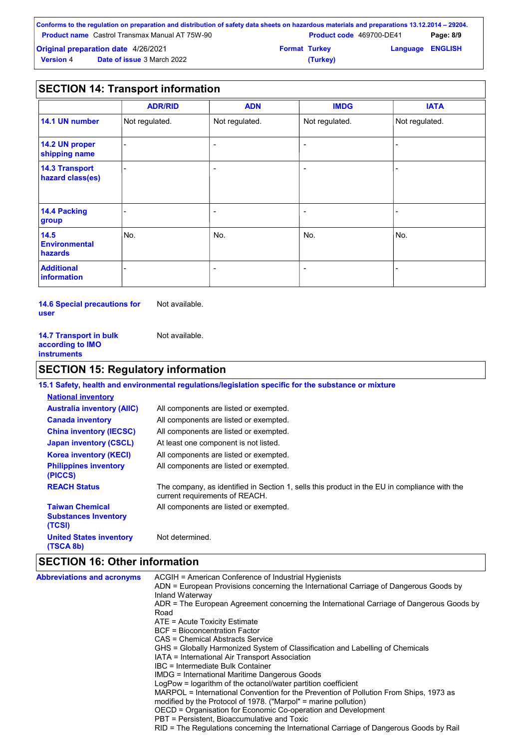|                  | Conforms to the regulation on preparation and distribution of safety data sheets on hazardous materials and preparations 13.12.2014 – 29204. |                      |                                 |                         |           |
|------------------|----------------------------------------------------------------------------------------------------------------------------------------------|----------------------|---------------------------------|-------------------------|-----------|
|                  | <b>Product name</b> Castrol Transmax Manual AT 75W-90                                                                                        |                      | <b>Product code</b> 469700-DE41 |                         | Page: 8/9 |
|                  | <b>Original preparation date 4/26/2021</b>                                                                                                   | <b>Format Turkey</b> |                                 | <b>Language ENGLISH</b> |           |
| <b>Version 4</b> | <b>Date of issue 3 March 2022</b>                                                                                                            |                      | (Turkey)                        |                         |           |

# **SECTION 14: Transport information**

|                                           | <b>ADR/RID</b> | <b>ADN</b>               | <b>IMDG</b>              | <b>IATA</b>    |
|-------------------------------------------|----------------|--------------------------|--------------------------|----------------|
| 14.1 UN number                            | Not regulated. | Not regulated.           | Not regulated.           | Not regulated. |
| 14.2 UN proper<br>shipping name           |                | $\overline{\phantom{0}}$ | $\overline{\phantom{0}}$ |                |
| <b>14.3 Transport</b><br>hazard class(es) |                | $\overline{\phantom{a}}$ | $\overline{\phantom{a}}$ |                |
| 14.4 Packing<br>group                     |                | $\overline{\phantom{a}}$ | $\overline{\phantom{0}}$ | -              |
| 14.5<br><b>Environmental</b><br>hazards   | No.            | No.                      | No.                      | No.            |
| <b>Additional</b><br><b>information</b>   |                | $\overline{\phantom{a}}$ | $\overline{\phantom{0}}$ | -              |

**14.6 Special precautions for user**

Not available.

| <b>14.7 Transport in bulk</b> | Not available. |
|-------------------------------|----------------|
| according to IMO              |                |
| instruments                   |                |

# **SECTION 15: Regulatory information**

|                                                                 | 15.1 Safety, health and environmental regulations/legislation specific for the substance or mixture                            |
|-----------------------------------------------------------------|--------------------------------------------------------------------------------------------------------------------------------|
| <b>National inventory</b>                                       |                                                                                                                                |
| <b>Australia inventory (AIIC)</b>                               | All components are listed or exempted.                                                                                         |
| <b>Canada inventory</b>                                         | All components are listed or exempted.                                                                                         |
| <b>China inventory (IECSC)</b>                                  | All components are listed or exempted.                                                                                         |
| <b>Japan inventory (CSCL)</b>                                   | At least one component is not listed.                                                                                          |
| <b>Korea inventory (KECI)</b>                                   | All components are listed or exempted.                                                                                         |
| <b>Philippines inventory</b><br>(PICCS)                         | All components are listed or exempted.                                                                                         |
| <b>REACH Status</b>                                             | The company, as identified in Section 1, sells this product in the EU in compliance with the<br>current requirements of REACH. |
| <b>Taiwan Chemical</b><br><b>Substances Inventory</b><br>(TCSI) | All components are listed or exempted.                                                                                         |
| <b>United States inventory</b><br>(TSCA 8b)                     | Not determined.                                                                                                                |

# **SECTION 16: Other information**

| ADN = European Provisions concerning the International Carriage of Dangerous Goods by<br>Inland Waterway<br>ADR = The European Agreement concerning the International Carriage of Dangerous Goods by<br>Road<br>$ATE = Acute Toxicity Estimate$<br>BCF = Bioconcentration Factor<br>CAS = Chemical Abstracts Service<br>GHS = Globally Harmonized System of Classification and Labelling of Chemicals<br>IATA = International Air Transport Association<br>IBC = Intermediate Bulk Container<br><b>IMDG</b> = International Maritime Dangerous Goods<br>LogPow = logarithm of the octanol/water partition coefficient<br>MARPOL = International Convention for the Prevention of Pollution From Ships, 1973 as<br>modified by the Protocol of 1978. ("Marpol" = marine pollution)<br>OECD = Organisation for Economic Co-operation and Development<br>PBT = Persistent, Bioaccumulative and Toxic<br>RID = The Regulations concerning the International Carriage of Dangerous Goods by Rail | <b>Abbreviations and acronyms</b> |
|---------------------------------------------------------------------------------------------------------------------------------------------------------------------------------------------------------------------------------------------------------------------------------------------------------------------------------------------------------------------------------------------------------------------------------------------------------------------------------------------------------------------------------------------------------------------------------------------------------------------------------------------------------------------------------------------------------------------------------------------------------------------------------------------------------------------------------------------------------------------------------------------------------------------------------------------------------------------------------------------|-----------------------------------|
|---------------------------------------------------------------------------------------------------------------------------------------------------------------------------------------------------------------------------------------------------------------------------------------------------------------------------------------------------------------------------------------------------------------------------------------------------------------------------------------------------------------------------------------------------------------------------------------------------------------------------------------------------------------------------------------------------------------------------------------------------------------------------------------------------------------------------------------------------------------------------------------------------------------------------------------------------------------------------------------------|-----------------------------------|